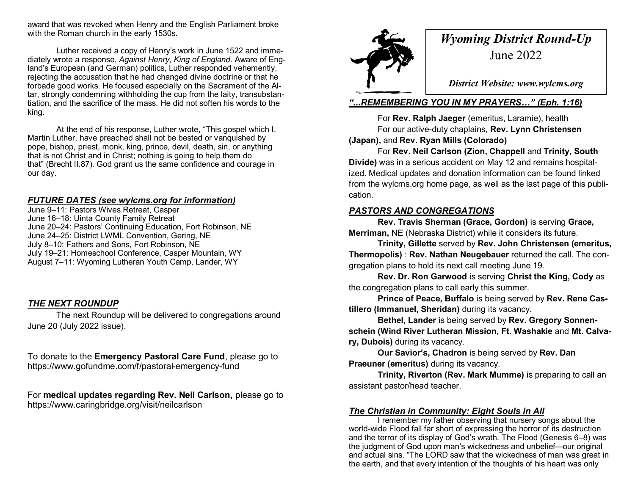award that was revoked when Henry and the English Parliament broke with the Roman church in the early 1530s.

Luther received a copy of Henry's work in June 1522 and immediately wrote a response, *Against Henry, King of England*. Aware of England's European (and German) politics, Luther responded vehemently, rejecting the accusation that he had changed divine doctrine or that he forbade good works. He focused especially on the Sacrament of the Altar, strongly condemning withholding the cup from the laity, transubstantiation, and the sacrifice of the mass. He did not soften his words to the king.

At the end of his response, Luther wrote, "This gospel which I, Martin Luther, have preached shall not be bested or vanquished by pope, bishop, priest, monk, king, prince, devil, death, sin, or anything that is not Christ and in Christ; nothing is going to help them do that" (Brecht II.87). God grant us the same confidence and courage in our day.

#### *FUTURE DATES (see wylcms.org for information)*

June 9–11: Pastors Wives Retreat, Casper June 16–18: Uinta County Family Retreat June 20–24: Pastors' Continuing Education, Fort Robinson, NE June 24–25: District LWML Convention, Gering, NE July 8–10: Fathers and Sons, Fort Robinson, NE July 19–21: Homeschool Conference, Casper Mountain, WY August 7–11: Wyoming Lutheran Youth Camp, Lander, WY

## *THE NEXT ROUNDUP*

The next Roundup will be delivered to congregations around June 20 (July 2022 issue).

To donate to the **Emergency Pastoral Care Fund**, please go to https://www.gofundme.com/f/pastoral-emergency-fund

For **medical updates regarding Rev. Neil Carlson,** please go to https://www.caringbridge.org/visit/neilcarlson



# *Wyoming District Round-Up* June 2022

*District Website: www.wylcms.org*

#### *"...REMEMBERING YOU IN MY PRAYERS…" (Eph. 1:16)*

For **Rev. Ralph Jaeger** (emeritus, Laramie), health For our active-duty chaplains, **Rev. Lynn Christensen (Japan),** and **Rev. Ryan Mills (Colorado)**

For **Rev. Neil Carlson (Zion, Chappell** and **Trinity, South Divide)** was in a serious accident on May 12 and remains hospitalized. Medical updates and donation information can be found linked from the wylcms.org home page, as well as the last page of this publication.

### *PASTORS AND CONGREGATIONS*

**Rev. Travis Sherman (Grace, Gordon)** is serving **Grace, Merriman,** NE (Nebraska District) while it considers its future.

**Trinity, Gillette** served by **Rev. John Christensen (emeritus, Thermopolis)** : **Rev. Nathan Neugebauer** returned the call. The congregation plans to hold its next call meeting June 19.

**Rev. Dr. Ron Garwood** is serving **Christ the King, Cody** as the congregation plans to call early this summer.

**Prince of Peace, Buffalo** is being served by **Rev. Rene Castillero (Immanuel, Sheridan)** during its vacancy.

**Bethel, Lander** is being served by **Rev. Gregory Sonnenschein (Wind River Lutheran Mission, Ft. Washakie** and **Mt. Calvary, Dubois)** during its vacancy.

**Our Savior's, Chadron** is being served by **Rev. Dan Praeuner (emeritus)** during its vacancy.

**Trinity, Riverton (Rev. Mark Mumme)** is preparing to call an assistant pastor/head teacher.

### *The Christian in Community: Eight Souls in All*

I remember my father observing that nursery songs about the world-wide Flood fall far short of expressing the horror of its destruction and the terror of its display of God's wrath. The Flood (Genesis 6–8) was the judgment of God upon man's wickedness and unbelief—our original and actual sins. "The LORD saw that the wickedness of man was great in the earth, and that every intention of the thoughts of his heart was only